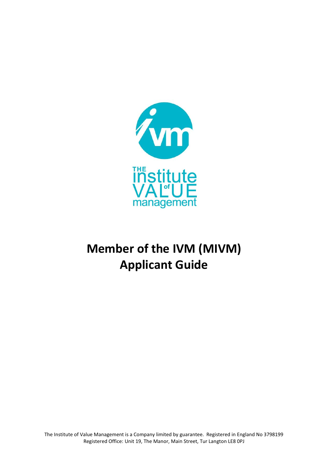

# **Member of the IVM (MIVM) Applicant Guide**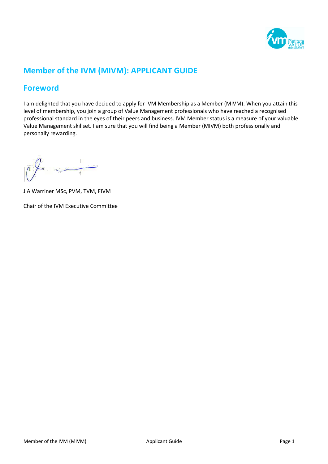

# **Member of the IVM (MIVM): APPLICANT GUIDE**

## **Foreword**

I am delighted that you have decided to apply for IVM Membership as a Member (MIVM). When you attain this level of membership, you join a group of Value Management professionals who have reached a recognised professional standard in the eyes of their peers and business. IVM Member status is a measure of your valuable Value Management skillset. I am sure that you will find being a Member (MIVM) both professionally and personally rewarding.

J A Warriner MSc, PVM, TVM, FIVM

Chair of the IVM Executive Committee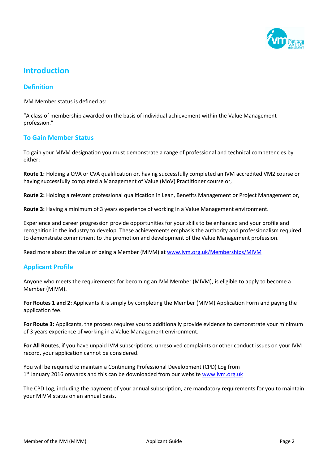

## **Introduction**

#### **Definition**

IVM Member status is defined as:

"A class of membership awarded on the basis of individual achievement within the Value Management profession."

#### **To Gain Member Status**

To gain your MIVM designation you must demonstrate a range of professional and technical competencies by either:

**Route 1:** Holding a QVA or CVA qualification or, having successfully completed an IVM accredited VM2 course or having successfully completed a Management of Value (MoV) Practitioner course or,

**Route 2:** Holding a relevant professional qualification in Lean, Benefits Management or Project Management or,

**Route 3:** Having a minimum of 3 years experience of working in a Value Management environment.

Experience and career progression provide opportunities for your skills to be enhanced and your profile and recognition in the industry to develop. These achievements emphasis the authority and professionalism required to demonstrate commitment to the promotion and development of the Value Management profession.

Read more about the value of being a Member (MIVM) at www.ivm.org.uk/Memberships/MIVM

#### **Applicant Profile**

Anyone who meets the requirements for becoming an IVM Member (MIVM), is eligible to apply to become a Member (MIVM).

**For Routes 1 and 2:** Applicants it is simply by completing the Member (MIVM) Application Form and paying the application fee.

**For Route 3:** Applicants, the process requires you to additionally provide evidence to demonstrate your minimum of 3 years experience of working in a Value Management environment.

**For All Routes**, if you have unpaid IVM subscriptions, unresolved complaints or other conduct issues on your IVM record, your application cannot be considered.

You will be required to maintain a Continuing Professional Development (CPD) Log from 1<sup>st</sup> January 2016 onwards and this can be downloaded from our website **www.ivm.org.uk** 

The CPD Log, including the payment of your annual subscription, are mandatory requirements for you to maintain your MIVM status on an annual basis.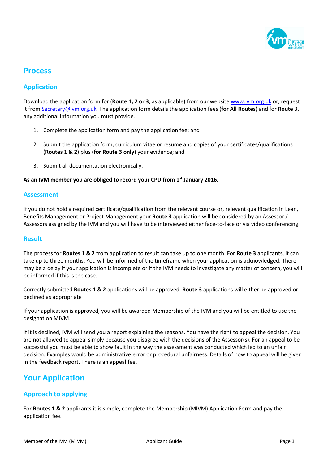

### **Process**

#### **Application**

Download the application form for (**Route 1, 2 or 3**, as applicable) from our websit[e www.ivm.org.uk](http://www.ivm.org.uk/) or, request it fro[m Secretary@ivm.org.uk](mailto:Secretary@ivm.org.uk) The application form details the application fees (**for All Routes**) and for **Route** 3, any additional information you must provide.

- 1. Complete the application form and pay the application fee; and
- 2. Submit the application form, curriculum vitae or resume and copies of your certificates/qualifications (**Routes 1 & 2**) plus (**for Route 3 only**) your evidence; and
- 3. Submit all documentation electronically.

#### **As an IVM member you are obliged to record your CPD from 1 st January 2016.**

#### **Assessment**

If you do not hold a required certificate/qualification from the relevant course or, relevant qualification in Lean, Benefits Management or Project Management your **Route 3** application will be considered by an Assessor / Assessors assigned by the IVM and you will have to be interviewed either face-to-face or via video conferencing.

#### **Result**

The process for **Routes 1 & 2** from application to result can take up to one month. For **Route 3** applicants, it can take up to three months. You will be informed of the timeframe when your application is acknowledged. There may be a delay if your application is incomplete or if the IVM needs to investigate any matter of concern, you will be informed if this is the case.

Correctly submitted **Routes 1 & 2** applications will be approved. **Route 3** applications will either be approved or declined as appropriate

If your application is approved, you will be awarded Membership of the IVM and you will be entitled to use the designation MIVM.

If it is declined, IVM will send you a report explaining the reasons. You have the right to appeal the decision. You are not allowed to appeal simply because you disagree with the decisions of the Assessor(s). For an appeal to be successful you must be able to show fault in the way the assessment was conducted which led to an unfair decision. Examples would be administrative error or procedural unfairness. Details of how to appeal will be given in the feedback report. There is an appeal fee.

## **Your Application**

#### **Approach to applying**

For **Routes 1 & 2** applicants it is simple, complete the Membership (MIVM) Application Form and pay the application fee.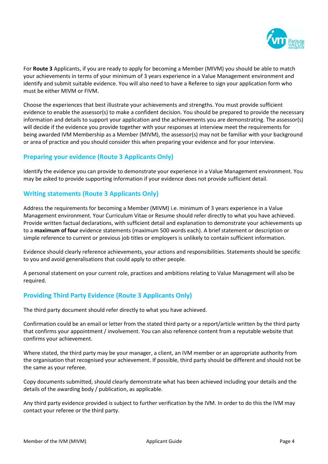

For **Route 3** Applicants, if you are ready to apply for becoming a Member (MIVM) you should be able to match your achievements in terms of your minimum of 3 years experience in a Value Management environment and identify and submit suitable evidence. You will also need to have a Referee to sign your application form who must be either MIVM or FIVM.

Choose the experiences that best illustrate your achievements and strengths. You must provide sufficient evidence to enable the assessor(s) to make a confident decision. You should be prepared to provide the necessary information and details to support your application and the achievements you are demonstrating. The assessor(s) will decide if the evidence you provide together with your responses at interview meet the requirements for being awarded IVM Membership as a Member (MIVM), the assessor(s) may not be familiar with your background or area of practice and you should consider this when preparing your evidence and for your interview.

#### **Preparing your evidence (Route 3 Applicants Only)**

Identify the evidence you can provide to demonstrate your experience in a Value Management environment. You may be asked to provide supporting information if your evidence does not provide sufficient detail.

#### **Writing statements (Route 3 Applicants Only)**

Address the requirements for becoming a Member (MIVM) i.e. minimum of 3 years experience in a Value Management environment. Your Curriculum Vitae or Resume should refer directly to what you have achieved. Provide written factual declarations, with sufficient detail and explanation to demonstrate your achievements up to a **maximum of four** evidence statements (maximum 500 words each). A brief statement or description or simple reference to current or previous job titles or employers is unlikely to contain sufficient information.

Evidence should clearly reference achievements, your actions and responsibilities. Statements should be specific to you and avoid generalisations that could apply to other people.

A personal statement on your current role, practices and ambitions relating to Value Management will also be required.

#### **Providing Third Party Evidence (Route 3 Applicants Only)**

The third party document should refer directly to what you have achieved.

Confirmation could be an email or letter from the stated third party or a report/article written by the third party that confirms your appointment / involvement. You can also reference content from a reputable website that confirms your achievement.

Where stated, the third party may be your manager, a client, an IVM member or an appropriate authority from the organisation that recognised your achievement. If possible, third party should be different and should not be the same as your referee.

Copy documents submitted, should clearly demonstrate what has been achieved including your details and the details of the awarding body / publication, as applicable.

Any third party evidence provided is subject to further verification by the IVM. In order to do this the IVM may contact your referee or the third party.